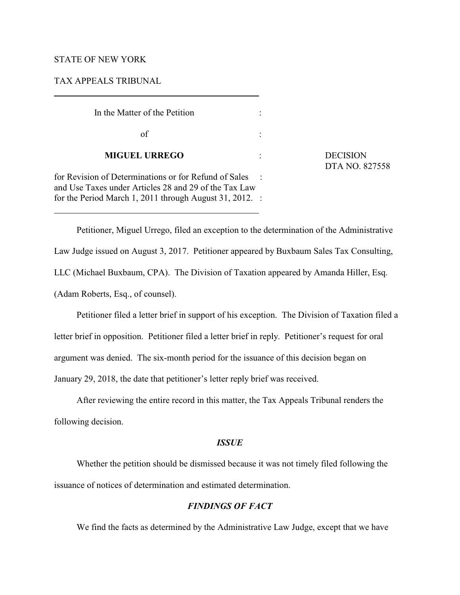## STATE OF NEW YORK

 $\overline{a}$ 

 $\overline{a}$ 

## TAX APPEALS TRIBUNAL

| In the Matter of the Petition                                                                                  |  |  |  |  |
|----------------------------------------------------------------------------------------------------------------|--|--|--|--|
| οf                                                                                                             |  |  |  |  |
| <b>MIGUEL URREGO</b>                                                                                           |  |  |  |  |
| for Revision of Determinations or for Refund of Sales<br>and Use Taxes under Articles 28 and 29 of the Tax Law |  |  |  |  |
| for the Period March 1, 2011 through August 31, 2012.                                                          |  |  |  |  |

 $DECISION$ DTA NO. 827558

Petitioner, Miguel Urrego, filed an exception to the determination of the Administrative Law Judge issued on August 3, 2017. Petitioner appeared by Buxbaum Sales Tax Consulting, LLC (Michael Buxbaum, CPA). The Division of Taxation appeared by Amanda Hiller, Esq. (Adam Roberts, Esq., of counsel).

Petitioner filed a letter brief in support of his exception. The Division of Taxation filed a letter brief in opposition. Petitioner filed a letter brief in reply. Petitioner's request for oral argument was denied. The six-month period for the issuance of this decision began on January 29, 2018, the date that petitioner's letter reply brief was received.

After reviewing the entire record in this matter, the Tax Appeals Tribunal renders the following decision.

# *ISSUE*

Whether the petition should be dismissed because it was not timely filed following the issuance of notices of determination and estimated determination.

## *FINDINGS OF FACT*

We find the facts as determined by the Administrative Law Judge, except that we have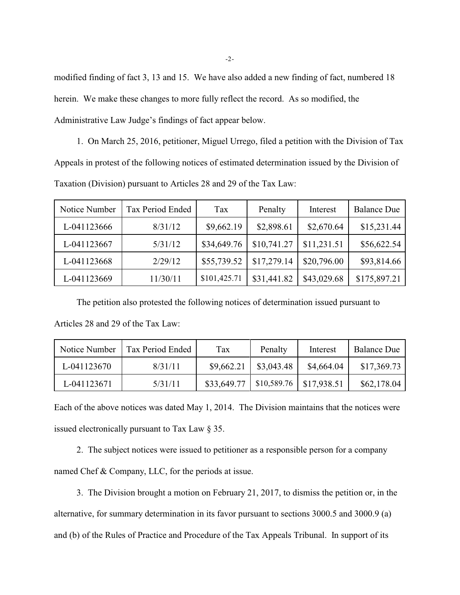modified finding of fact 3, 13 and 15. We have also added a new finding of fact, numbered 18 herein. We make these changes to more fully reflect the record. As so modified, the Administrative Law Judge's findings of fact appear below.

1. On March 25, 2016, petitioner, Miguel Urrego, filed a petition with the Division of Tax Appeals in protest of the following notices of estimated determination issued by the Division of Taxation (Division) pursuant to Articles 28 and 29 of the Tax Law:

| Notice Number | Tax Period Ended | Tax          | Penalty     | Interest    | <b>Balance Due</b> |
|---------------|------------------|--------------|-------------|-------------|--------------------|
| L-041123666   | 8/31/12          | \$9,662.19   | \$2,898.61  | \$2,670.64  | \$15,231.44        |
| L-041123667   | 5/31/12          | \$34,649.76  | \$10,741.27 | \$11,231.51 | \$56,622.54        |
| L-041123668   | 2/29/12          | \$55,739.52  | \$17,279.14 | \$20,796.00 | \$93,814.66        |
| L-041123669   | 11/30/11         | \$101,425.71 | \$31,441.82 | \$43,029.68 | \$175,897.21       |

The petition also protested the following notices of determination issued pursuant to

| Articles 28 and 29 of the Tax Law: |  |  |  |  |
|------------------------------------|--|--|--|--|
|                                    |  |  |  |  |

| Notice Number | Tax Period Ended | Tax         | Penalty     | Interest    | <b>Balance Due</b> |
|---------------|------------------|-------------|-------------|-------------|--------------------|
| L-041123670   | 8/31/11          | \$9,662.21  | \$3,043.48  | \$4,664.04  | \$17,369.73        |
| L-041123671   | 5/31/11          | \$33,649.77 | \$10,589.76 | \$17,938.51 | \$62,178.04        |

Each of the above notices was dated May 1, 2014. The Division maintains that the notices were issued electronically pursuant to Tax Law § 35.

2. The subject notices were issued to petitioner as a responsible person for a company named Chef & Company, LLC, for the periods at issue.

3. The Division brought a motion on February 21, 2017, to dismiss the petition or, in the alternative, for summary determination in its favor pursuant to sections 3000.5 and 3000.9 (a) and (b) of the Rules of Practice and Procedure of the Tax Appeals Tribunal. In support of its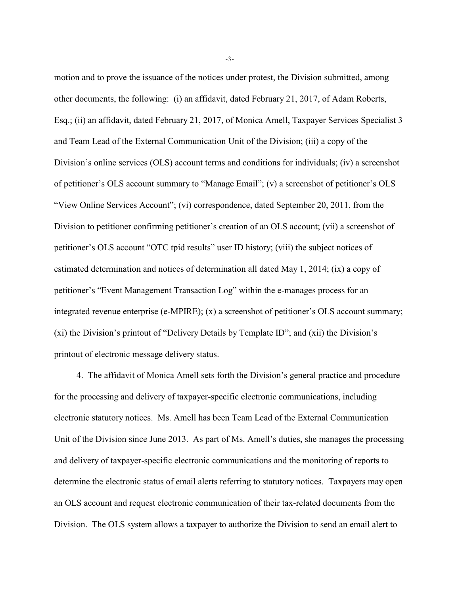motion and to prove the issuance of the notices under protest, the Division submitted, among other documents, the following: (i) an affidavit, dated February 21, 2017, of Adam Roberts, Esq.; (ii) an affidavit, dated February 21, 2017, of Monica Amell, Taxpayer Services Specialist 3 and Team Lead of the External Communication Unit of the Division; (iii) a copy of the Division's online services (OLS) account terms and conditions for individuals; (iv) a screenshot of petitioner's OLS account summary to "Manage Email"; (v) a screenshot of petitioner's OLS "View Online Services Account"; (vi) correspondence, dated September 20, 2011, from the Division to petitioner confirming petitioner's creation of an OLS account; (vii) a screenshot of petitioner's OLS account "OTC tpid results" user ID history; (viii) the subject notices of estimated determination and notices of determination all dated May 1, 2014; (ix) a copy of petitioner's "Event Management Transaction Log" within the e-manages process for an integrated revenue enterprise (e-MPIRE); (x) a screenshot of petitioner's OLS account summary; (xi) the Division's printout of "Delivery Details by Template ID"; and (xii) the Division's printout of electronic message delivery status.

4. The affidavit of Monica Amell sets forth the Division's general practice and procedure for the processing and delivery of taxpayer-specific electronic communications, including electronic statutory notices. Ms. Amell has been Team Lead of the External Communication Unit of the Division since June 2013. As part of Ms. Amell's duties, she manages the processing and delivery of taxpayer-specific electronic communications and the monitoring of reports to determine the electronic status of email alerts referring to statutory notices. Taxpayers may open an OLS account and request electronic communication of their tax-related documents from the Division. The OLS system allows a taxpayer to authorize the Division to send an email alert to

-3-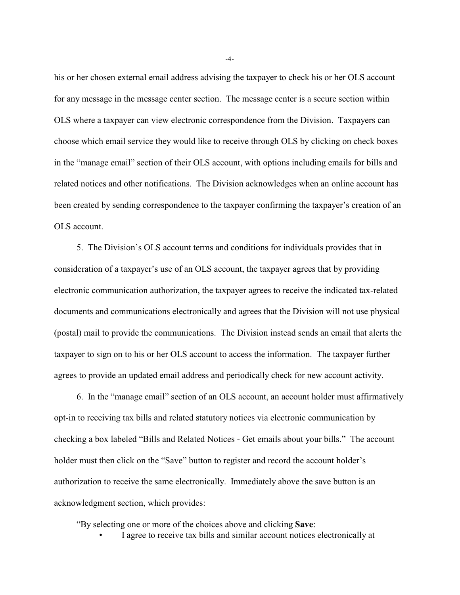his or her chosen external email address advising the taxpayer to check his or her OLS account for any message in the message center section. The message center is a secure section within OLS where a taxpayer can view electronic correspondence from the Division. Taxpayers can choose which email service they would like to receive through OLS by clicking on check boxes in the "manage email" section of their OLS account, with options including emails for bills and related notices and other notifications. The Division acknowledges when an online account has been created by sending correspondence to the taxpayer confirming the taxpayer's creation of an OLS account.

5. The Division's OLS account terms and conditions for individuals provides that in consideration of a taxpayer's use of an OLS account, the taxpayer agrees that by providing electronic communication authorization, the taxpayer agrees to receive the indicated tax-related documents and communications electronically and agrees that the Division will not use physical (postal) mail to provide the communications. The Division instead sends an email that alerts the taxpayer to sign on to his or her OLS account to access the information. The taxpayer further agrees to provide an updated email address and periodically check for new account activity.

6. In the "manage email" section of an OLS account, an account holder must affirmatively opt-in to receiving tax bills and related statutory notices via electronic communication by checking a box labeled "Bills and Related Notices - Get emails about your bills." The account holder must then click on the "Save" button to register and record the account holder's authorization to receive the same electronically. Immediately above the save button is an acknowledgment section, which provides:

"By selecting one or more of the choices above and clicking **Save**:

• I agree to receive tax bills and similar account notices electronically at

-4-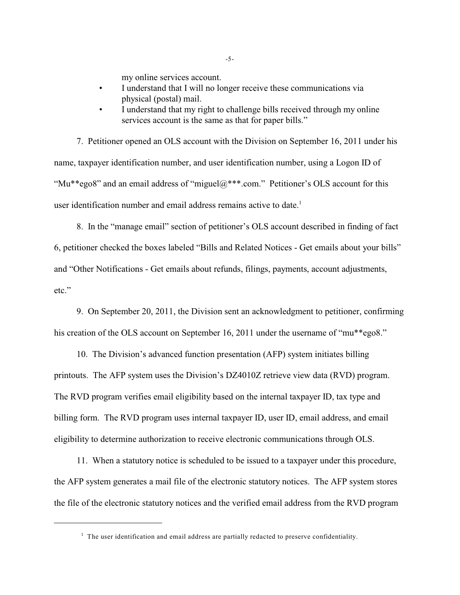my online services account.

- I understand that I will no longer receive these communications via physical (postal) mail.
- I understand that my right to challenge bills received through my online services account is the same as that for paper bills."

7. Petitioner opened an OLS account with the Division on September 16, 2011 under his name, taxpayer identification number, and user identification number, using a Logon ID of "Mu\*\*ego8" and an email address of "miguel $@***$ .com." Petitioner's OLS account for this user identification number and email address remains active to date.<sup>1</sup>

8. In the "manage email" section of petitioner's OLS account described in finding of fact 6, petitioner checked the boxes labeled "Bills and Related Notices - Get emails about your bills" and "Other Notifications - Get emails about refunds, filings, payments, account adjustments, etc."

9. On September 20, 2011, the Division sent an acknowledgment to petitioner, confirming his creation of the OLS account on September 16, 2011 under the username of "mu\*\*ego8."

10. The Division's advanced function presentation (AFP) system initiates billing printouts. The AFP system uses the Division's DZ4010Z retrieve view data (RVD) program. The RVD program verifies email eligibility based on the internal taxpayer ID, tax type and billing form. The RVD program uses internal taxpayer ID, user ID, email address, and email eligibility to determine authorization to receive electronic communications through OLS.

11. When a statutory notice is scheduled to be issued to a taxpayer under this procedure, the AFP system generates a mail file of the electronic statutory notices. The AFP system stores the file of the electronic statutory notices and the verified email address from the RVD program

 $1$  The user identification and email address are partially redacted to preserve confidentiality.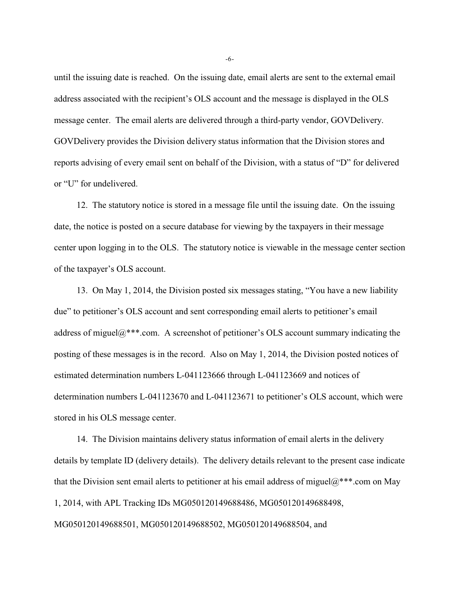until the issuing date is reached. On the issuing date, email alerts are sent to the external email address associated with the recipient's OLS account and the message is displayed in the OLS message center. The email alerts are delivered through a third-party vendor, GOVDelivery. GOVDelivery provides the Division delivery status information that the Division stores and reports advising of every email sent on behalf of the Division, with a status of "D" for delivered or "U" for undelivered.

12. The statutory notice is stored in a message file until the issuing date. On the issuing date, the notice is posted on a secure database for viewing by the taxpayers in their message center upon logging in to the OLS. The statutory notice is viewable in the message center section of the taxpayer's OLS account.

13. On May 1, 2014, the Division posted six messages stating, "You have a new liability due" to petitioner's OLS account and sent corresponding email alerts to petitioner's email address of miguel $@^{***}$ .com. A screenshot of petitioner's OLS account summary indicating the posting of these messages is in the record. Also on May 1, 2014, the Division posted notices of estimated determination numbers L-041123666 through L-041123669 and notices of determination numbers L-041123670 and L-041123671 to petitioner's OLS account, which were stored in his OLS message center.

14. The Division maintains delivery status information of email alerts in the delivery details by template ID (delivery details). The delivery details relevant to the present case indicate that the Division sent email alerts to petitioner at his email address of miguel $@^{***}$ .com on May 1, 2014, with APL Tracking IDs MG050120149688486, MG050120149688498, MG050120149688501, MG050120149688502, MG050120149688504, and

-6-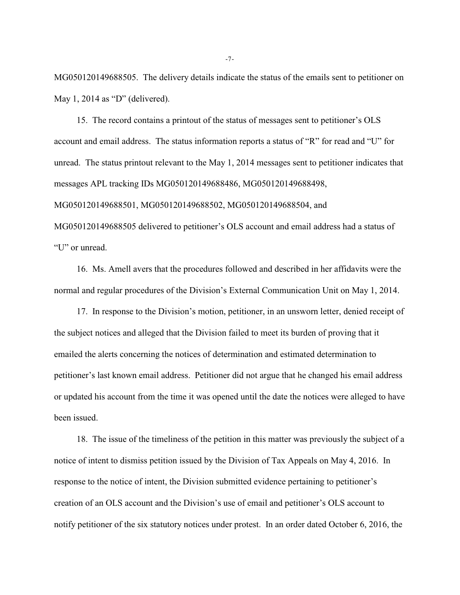MG050120149688505. The delivery details indicate the status of the emails sent to petitioner on May 1, 2014 as "D" (delivered).

15. The record contains a printout of the status of messages sent to petitioner's OLS account and email address. The status information reports a status of "R" for read and "U" for unread. The status printout relevant to the May 1, 2014 messages sent to petitioner indicates that messages APL tracking IDs MG050120149688486, MG050120149688498, MG050120149688501, MG050120149688502, MG050120149688504, and MG050120149688505 delivered to petitioner's OLS account and email address had a status of "U" or unread.

16. Ms. Amell avers that the procedures followed and described in her affidavits were the normal and regular procedures of the Division's External Communication Unit on May 1, 2014.

17. In response to the Division's motion, petitioner, in an unsworn letter, denied receipt of the subject notices and alleged that the Division failed to meet its burden of proving that it emailed the alerts concerning the notices of determination and estimated determination to petitioner's last known email address. Petitioner did not argue that he changed his email address or updated his account from the time it was opened until the date the notices were alleged to have been issued.

18. The issue of the timeliness of the petition in this matter was previously the subject of a notice of intent to dismiss petition issued by the Division of Tax Appeals on May 4, 2016. In response to the notice of intent, the Division submitted evidence pertaining to petitioner's creation of an OLS account and the Division's use of email and petitioner's OLS account to notify petitioner of the six statutory notices under protest. In an order dated October 6, 2016, the

-7-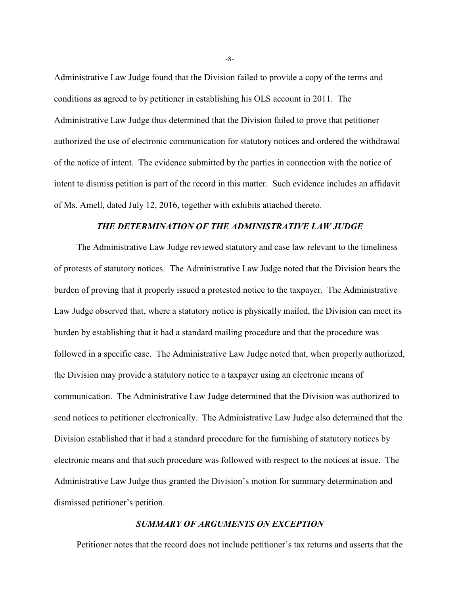Administrative Law Judge found that the Division failed to provide a copy of the terms and conditions as agreed to by petitioner in establishing his OLS account in 2011. The Administrative Law Judge thus determined that the Division failed to prove that petitioner authorized the use of electronic communication for statutory notices and ordered the withdrawal of the notice of intent. The evidence submitted by the parties in connection with the notice of intent to dismiss petition is part of the record in this matter. Such evidence includes an affidavit of Ms. Amell, dated July 12, 2016, together with exhibits attached thereto.

#### *THE DETERMINATION OF THE ADMINISTRATIVE LAW JUDGE*

The Administrative Law Judge reviewed statutory and case law relevant to the timeliness of protests of statutory notices. The Administrative Law Judge noted that the Division bears the burden of proving that it properly issued a protested notice to the taxpayer. The Administrative Law Judge observed that, where a statutory notice is physically mailed, the Division can meet its burden by establishing that it had a standard mailing procedure and that the procedure was followed in a specific case. The Administrative Law Judge noted that, when properly authorized, the Division may provide a statutory notice to a taxpayer using an electronic means of communication. The Administrative Law Judge determined that the Division was authorized to send notices to petitioner electronically. The Administrative Law Judge also determined that the Division established that it had a standard procedure for the furnishing of statutory notices by electronic means and that such procedure was followed with respect to the notices at issue. The Administrative Law Judge thus granted the Division's motion for summary determination and dismissed petitioner's petition.

#### *SUMMARY OF ARGUMENTS ON EXCEPTION*

Petitioner notes that the record does not include petitioner's tax returns and asserts that the

-8-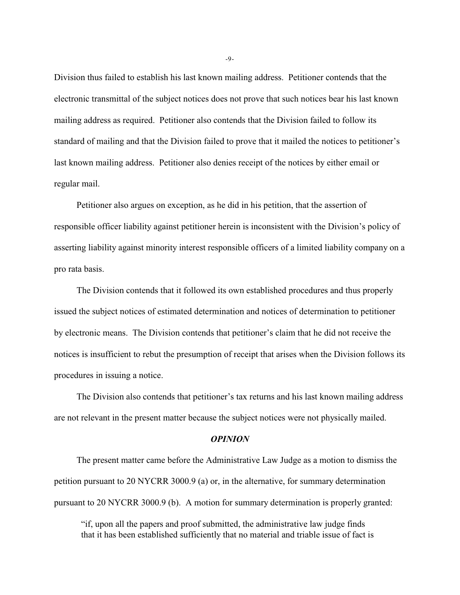Division thus failed to establish his last known mailing address. Petitioner contends that the electronic transmittal of the subject notices does not prove that such notices bear his last known mailing address as required. Petitioner also contends that the Division failed to follow its standard of mailing and that the Division failed to prove that it mailed the notices to petitioner's last known mailing address. Petitioner also denies receipt of the notices by either email or regular mail.

Petitioner also argues on exception, as he did in his petition, that the assertion of responsible officer liability against petitioner herein is inconsistent with the Division's policy of asserting liability against minority interest responsible officers of a limited liability company on a pro rata basis.

The Division contends that it followed its own established procedures and thus properly issued the subject notices of estimated determination and notices of determination to petitioner by electronic means. The Division contends that petitioner's claim that he did not receive the notices is insufficient to rebut the presumption of receipt that arises when the Division follows its procedures in issuing a notice.

The Division also contends that petitioner's tax returns and his last known mailing address are not relevant in the present matter because the subject notices were not physically mailed.

# *OPINION*

The present matter came before the Administrative Law Judge as a motion to dismiss the petition pursuant to 20 NYCRR 3000.9 (a) or, in the alternative, for summary determination pursuant to 20 NYCRR 3000.9 (b). A motion for summary determination is properly granted:

"if, upon all the papers and proof submitted, the administrative law judge finds that it has been established sufficiently that no material and triable issue of fact is

-9-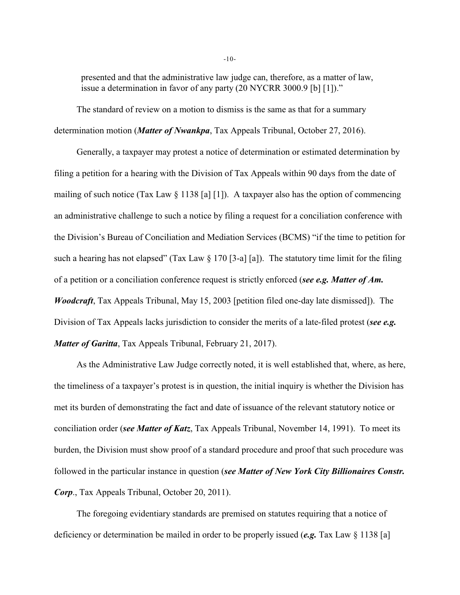presented and that the administrative law judge can, therefore, as a matter of law, issue a determination in favor of any party (20 NYCRR 3000.9 [b] [1])."

The standard of review on a motion to dismiss is the same as that for a summary determination motion (*Matter of Nwankpa*, Tax Appeals Tribunal, October 27, 2016).

Generally, a taxpayer may protest a notice of determination or estimated determination by filing a petition for a hearing with the Division of Tax Appeals within 90 days from the date of mailing of such notice (Tax Law § 1138 [a] [1]). A taxpayer also has the option of commencing an administrative challenge to such a notice by filing a request for a conciliation conference with the Division's Bureau of Conciliation and Mediation Services (BCMS) "if the time to petition for such a hearing has not elapsed" (Tax Law  $\S 170$  [3-a] [a]). The statutory time limit for the filing of a petition or a conciliation conference request is strictly enforced (*see e.g. Matter of Am. Woodcraft*, Tax Appeals Tribunal, May 15, 2003 [petition filed one-day late dismissed]). The Division of Tax Appeals lacks jurisdiction to consider the merits of a late-filed protest (*see e.g. Matter of Garitta*, Tax Appeals Tribunal, February 21, 2017).

As the Administrative Law Judge correctly noted, it is well established that, where, as here, the timeliness of a taxpayer's protest is in question, the initial inquiry is whether the Division has met its burden of demonstrating the fact and date of issuance of the relevant statutory notice or conciliation order (*see Matter of Katz*, Tax Appeals Tribunal, November 14, 1991). To meet its burden, the Division must show proof of a standard procedure and proof that such procedure was followed in the particular instance in question (*see Matter of New York City Billionaires Constr. Corp*., Tax Appeals Tribunal, October 20, 2011).

The foregoing evidentiary standards are premised on statutes requiring that a notice of deficiency or determination be mailed in order to be properly issued (*e.g.* Tax Law § 1138 [a]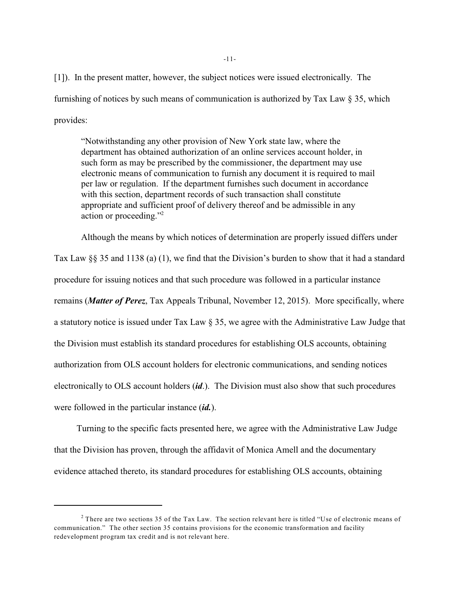[1]). In the present matter, however, the subject notices were issued electronically. The furnishing of notices by such means of communication is authorized by Tax Law § 35, which provides:

"Notwithstanding any other provision of New York state law, where the department has obtained authorization of an online services account holder, in such form as may be prescribed by the commissioner, the department may use electronic means of communication to furnish any document it is required to mail per law or regulation. If the department furnishes such document in accordance with this section, department records of such transaction shall constitute appropriate and sufficient proof of delivery thereof and be admissible in any action or proceeding."<sup>2</sup>

Although the means by which notices of determination are properly issued differs under

Tax Law §§ 35 and 1138 (a) (1), we find that the Division's burden to show that it had a standard procedure for issuing notices and that such procedure was followed in a particular instance remains (*Matter of Perez*, Tax Appeals Tribunal, November 12, 2015). More specifically, where a statutory notice is issued under Tax Law § 35, we agree with the Administrative Law Judge that the Division must establish its standard procedures for establishing OLS accounts, obtaining authorization from OLS account holders for electronic communications, and sending notices electronically to OLS account holders (*id*.). The Division must also show that such procedures were followed in the particular instance (*id.*).

Turning to the specific facts presented here, we agree with the Administrative Law Judge that the Division has proven, through the affidavit of Monica Amell and the documentary evidence attached thereto, its standard procedures for establishing OLS accounts, obtaining

<sup>&</sup>lt;sup>2</sup> There are two sections 35 of the Tax Law. The section relevant here is titled "Use of electronic means of communication." The other section 35 contains provisions for the economic transformation and facility redevelopment program tax credit and is not relevant here.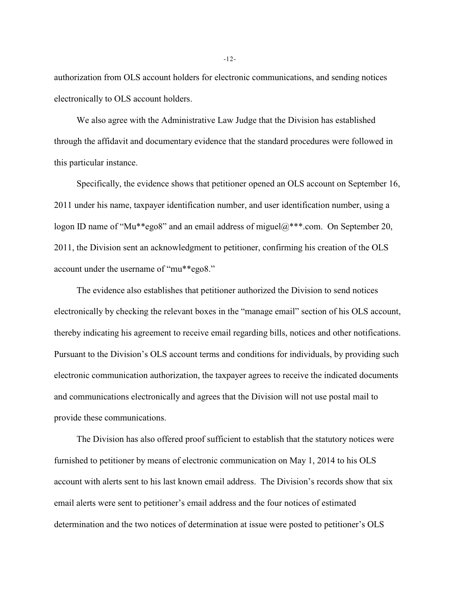authorization from OLS account holders for electronic communications, and sending notices electronically to OLS account holders.

We also agree with the Administrative Law Judge that the Division has established through the affidavit and documentary evidence that the standard procedures were followed in this particular instance.

Specifically, the evidence shows that petitioner opened an OLS account on September 16, 2011 under his name, taxpayer identification number, and user identification number, using a logon ID name of "Mu\*\*ego8" and an email address of miguel@\*\*\*.com. On September 20, 2011, the Division sent an acknowledgment to petitioner, confirming his creation of the OLS account under the username of "mu\*\*ego8."

The evidence also establishes that petitioner authorized the Division to send notices electronically by checking the relevant boxes in the "manage email" section of his OLS account, thereby indicating his agreement to receive email regarding bills, notices and other notifications. Pursuant to the Division's OLS account terms and conditions for individuals, by providing such electronic communication authorization, the taxpayer agrees to receive the indicated documents and communications electronically and agrees that the Division will not use postal mail to provide these communications.

The Division has also offered proof sufficient to establish that the statutory notices were furnished to petitioner by means of electronic communication on May 1, 2014 to his OLS account with alerts sent to his last known email address. The Division's records show that six email alerts were sent to petitioner's email address and the four notices of estimated determination and the two notices of determination at issue were posted to petitioner's OLS

-12-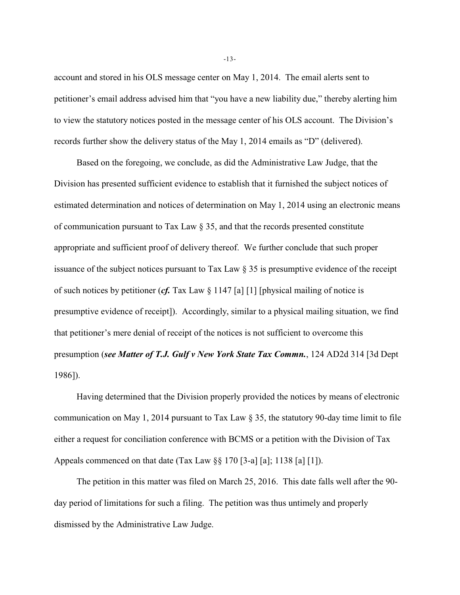account and stored in his OLS message center on May 1, 2014. The email alerts sent to petitioner's email address advised him that "you have a new liability due," thereby alerting him to view the statutory notices posted in the message center of his OLS account. The Division's records further show the delivery status of the May 1, 2014 emails as "D" (delivered).

Based on the foregoing, we conclude, as did the Administrative Law Judge, that the Division has presented sufficient evidence to establish that it furnished the subject notices of estimated determination and notices of determination on May 1, 2014 using an electronic means of communication pursuant to Tax Law § 35, and that the records presented constitute appropriate and sufficient proof of delivery thereof. We further conclude that such proper issuance of the subject notices pursuant to Tax Law § 35 is presumptive evidence of the receipt of such notices by petitioner (*cf.* Tax Law § 1147 [a] [1] [physical mailing of notice is presumptive evidence of receipt]). Accordingly, similar to a physical mailing situation, we find that petitioner's mere denial of receipt of the notices is not sufficient to overcome this presumption (*see Matter of T.J. Gulf v New York State Tax Commn.*, 124 AD2d 314 [3d Dept 1986]).

Having determined that the Division properly provided the notices by means of electronic communication on May 1, 2014 pursuant to Tax Law § 35, the statutory 90-day time limit to file either a request for conciliation conference with BCMS or a petition with the Division of Tax Appeals commenced on that date (Tax Law §§ 170 [3-a] [a]; 1138 [a] [1]).

The petition in this matter was filed on March 25, 2016. This date falls well after the 90 day period of limitations for such a filing. The petition was thus untimely and properly dismissed by the Administrative Law Judge.

-13-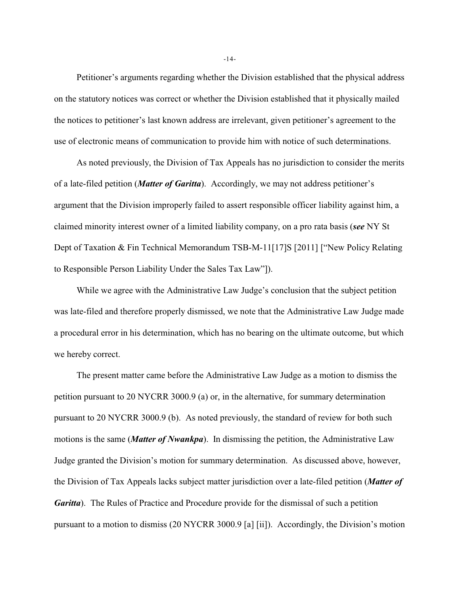Petitioner's arguments regarding whether the Division established that the physical address on the statutory notices was correct or whether the Division established that it physically mailed the notices to petitioner's last known address are irrelevant, given petitioner's agreement to the use of electronic means of communication to provide him with notice of such determinations.

As noted previously, the Division of Tax Appeals has no jurisdiction to consider the merits of a late-filed petition (*Matter of Garitta*). Accordingly, we may not address petitioner's argument that the Division improperly failed to assert responsible officer liability against him, a claimed minority interest owner of a limited liability company, on a pro rata basis (*see* NY St Dept of Taxation & Fin Technical Memorandum TSB-M-11[17]S [2011] ["New Policy Relating to Responsible Person Liability Under the Sales Tax Law"]).

While we agree with the Administrative Law Judge's conclusion that the subject petition was late-filed and therefore properly dismissed, we note that the Administrative Law Judge made a procedural error in his determination, which has no bearing on the ultimate outcome, but which we hereby correct.

The present matter came before the Administrative Law Judge as a motion to dismiss the petition pursuant to 20 NYCRR 3000.9 (a) or, in the alternative, for summary determination pursuant to 20 NYCRR 3000.9 (b). As noted previously, the standard of review for both such motions is the same (*Matter of Nwankpa*). In dismissing the petition, the Administrative Law Judge granted the Division's motion for summary determination. As discussed above, however, the Division of Tax Appeals lacks subject matter jurisdiction over a late-filed petition (*Matter of Garitta*). The Rules of Practice and Procedure provide for the dismissal of such a petition pursuant to a motion to dismiss (20 NYCRR 3000.9 [a] [ii]). Accordingly, the Division's motion

-14-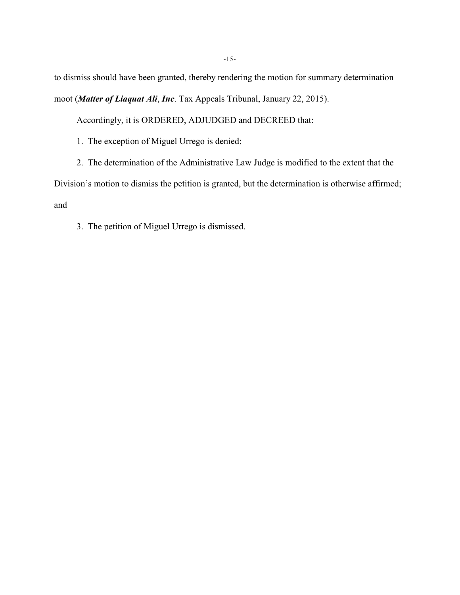to dismiss should have been granted, thereby rendering the motion for summary determination moot (*Matter of Liaquat Ali*, *Inc*. Tax Appeals Tribunal, January 22, 2015).

Accordingly, it is ORDERED, ADJUDGED and DECREED that:

1. The exception of Miguel Urrego is denied;

2. The determination of the Administrative Law Judge is modified to the extent that the

Division's motion to dismiss the petition is granted, but the determination is otherwise affirmed; and

3. The petition of Miguel Urrego is dismissed.